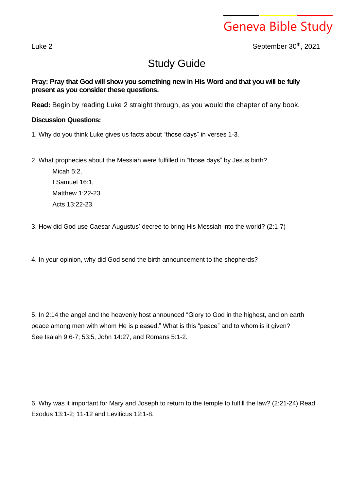Geneva Bible Study

Luke 2 September 30<sup>th</sup>, 2021

## Study Guide

**Pray: Pray that God will show you something new in His Word and that you will be fully present as you consider these questions.**

**Read:** Begin by reading Luke 2 straight through, as you would the chapter of any book.

## **Discussion Questions:**

- 1. Why do you think Luke gives us facts about "those days" in verses 1-3.
- 2. What prophecies about the Messiah were fulfilled in "those days" by Jesus birth?

Micah 5:2, I Samuel 16:1, Matthew 1:22-23 Acts 13:22-23.

3. How did God use Caesar Augustus' decree to bring His Messiah into the world? (2:1-7)

4. In your opinion, why did God send the birth announcement to the shepherds?

5. In 2:14 the angel and the heavenly host announced "Glory to God in the highest, and on earth peace among men with whom He is pleased." What is this "peace" and to whom is it given? See Isaiah 9:6-7; 53:5, John 14:27, and Romans 5:1-2.

6. Why was it important for Mary and Joseph to return to the temple to fulfill the law? (2:21-24) Read Exodus 13:1-2; 11-12 and Leviticus 12:1-8.